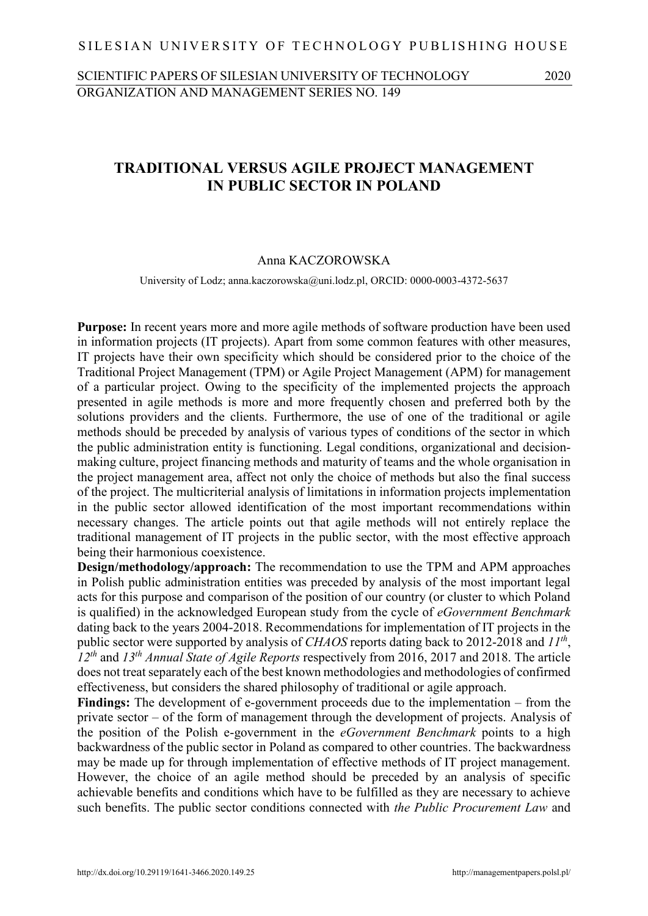# SCIENTIFIC PAPERS OF SILESIAN UNIVERSITY OF TECHNOLOGY 2020 ORGANIZATION AND MANAGEMENT SERIES NO. 149

# 1 **TRADITIONAL VERSUS AGILE PROJECT MANAGEMENT** 2 **IN PUBLIC SECTOR IN POLAND**

#### 3 Anna KACZOROWSKA

University of Lodz; anna.kaczorowska@uni.lodz.pl, ORCID: 0000-0003-4372-5637

**Purpose:** In recent years more and more agile methods of software production have been used in information projects (IT projects). Apart from some common features with other measures, 7 IT projects have their own specificity which should be considered prior to the choice of the 8 Traditional Project Management (TPM) or Agile Project Management (APM) for management of a particular project. Owing to the specificity of the implemented projects the approach presented in agile methods is more and more frequently chosen and preferred both by the solutions providers and the clients. Furthermore, the use of one of the traditional or agile methods should be preceded by analysis of various types of conditions of the sector in which 13 the public administration entity is functioning. Legal conditions, organizational and decisionmaking culture, project financing methods and maturity of teams and the whole organisation in the project management area, affect not only the choice of methods but also the final success of the project. The multicriterial analysis of limitations in information projects implementation in the public sector allowed identification of the most important recommendations within necessary changes. The article points out that agile methods will not entirely replace the 19 traditional management of IT projects in the public sector, with the most effective approach being their harmonious coexistence.

**Design/methodology/approach:** The recommendation to use the TPM and APM approaches 22 in Polish public administration entities was preceded by analysis of the most important legal acts for this purpose and comparison of the position of our country (or cluster to which Poland 24 is qualified) in the acknowledged European study from the cycle of *eGovernment Benchmark*  25 dating back to the years 2004-2018. Recommendations for implementation of IT projects in the public sector were supported by analysis of *CHAOS* reports dating back to 2012-2018 and  $II^{th}$ , *12th* and *13th* 27 *Annual State of Agile Reports* respectively from 2016, 2017 and 2018. The article 28 does not treat separately each of the best known methodologies and methodologies of confirmed effectiveness, but considers the shared philosophy of traditional or agile approach.

**Findings:** The development of e-government proceeds due to the implementation – from the 31 private sector – of the form of management through the development of projects. Analysis of 32 the position of the Polish e-government in the *eGovernment Benchmark* points to a high backwardness of the public sector in Poland as compared to other countries. The backwardness may be made up for through implementation of effective methods of IT project management. 35 However, the choice of an agile method should be preceded by an analysis of specific achievable benefits and conditions which have to be fulfilled as they are necessary to achieve such benefits. The public sector conditions connected with *the Public Procurement Law* and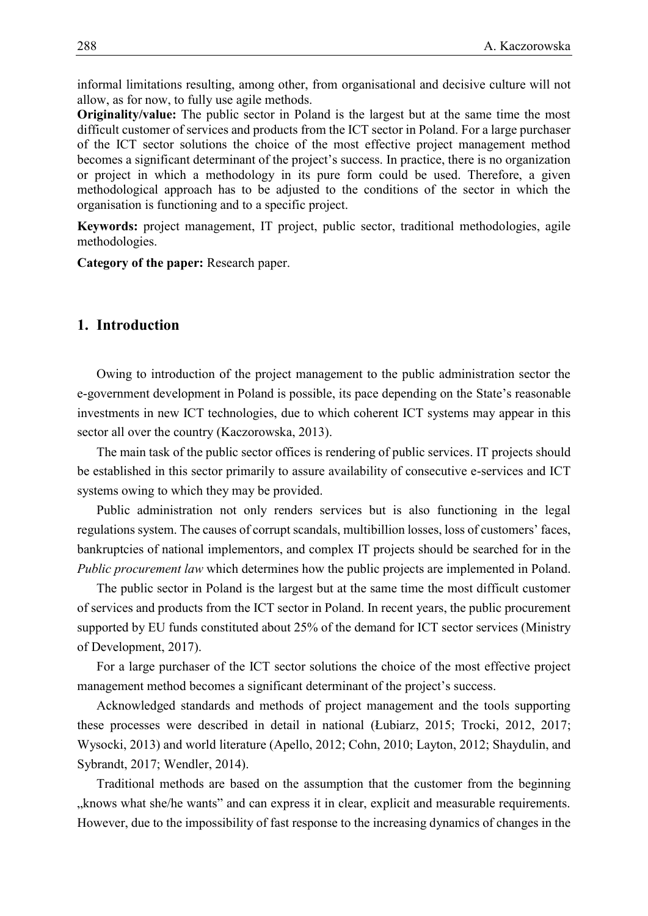1 informal limitations resulting, among other, from organisational and decisive culture will not allow, as for now, to fully use agile methods.

**Originality/value:** The public sector in Poland is the largest but at the same time the most difficult customer of services and products from the ICT sector in Poland. For a large purchaser 5 of the ICT sector solutions the choice of the most effective project management method becomes a significant determinant of the project's success. In practice, there is no organization 7 or project in which a methodology in its pure form could be used. Therefore, a given methodological approach has to be adjusted to the conditions of the sector in which the organisation is functioning and to a specific project.

**Keywords:** project management, IT project, public sector, traditional methodologies, agile methodologies.

12 **Category of the paper:** Research paper.

# 13 **1. Introduction**

Owing to introduction of the project management to the public administration sector the 15 e-government development in Poland is possible, its pace depending on the State's reasonable investments in new ICT technologies, due to which coherent ICT systems may appear in this sector all over the country (Kaczorowska, 2013).

The main task of the public sector offices is rendering of public services. IT projects should be established in this sector primarily to assure availability of consecutive e-services and ICT systems owing to which they may be provided.

Public administration not only renders services but is also functioning in the legal 22 regulations system. The causes of corrupt scandals, multibillion losses, loss of customers' faces, bankruptcies of national implementors, and complex IT projects should be searched for in the *Public procurement law* which determines how the public projects are implemented in Poland.

The public sector in Poland is the largest but at the same time the most difficult customer 26 of services and products from the ICT sector in Poland. In recent years, the public procurement 27 supported by EU funds constituted about 25% of the demand for ICT sector services (Ministry of Development, 2017).

29 For a large purchaser of the ICT sector solutions the choice of the most effective project management method becomes a significant determinant of the project's success.

 Acknowledged standards and methods of project management and the tools supporting these processes were described in detail in national (Łubiarz, 2015; Trocki, 2012, 2017; Wysocki, 2013) and world literature (Apello, 2012; Cohn, 2010; Layton, 2012; Shaydulin, and Sybrandt, 2017; Wendler, 2014).

Traditional methods are based on the assumption that the customer from the beginning <sub>3</sub>, knows what she/he wants" and can express it in clear, explicit and measurable requirements. 37 However, due to the impossibility of fast response to the increasing dynamics of changes in the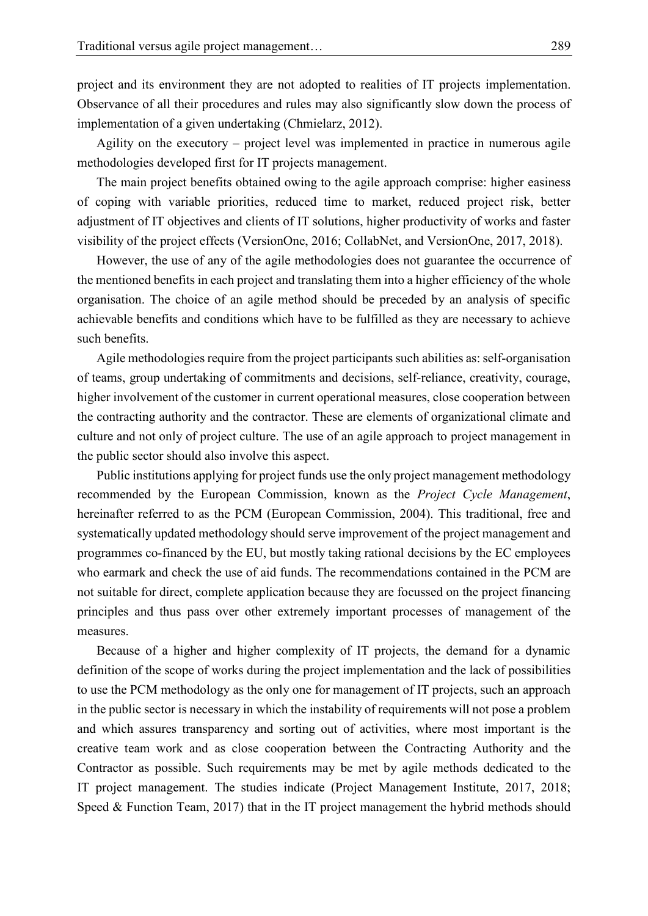project and its environment they are not adopted to realities of IT projects implementation. 2 Observance of all their procedures and rules may also significantly slow down the process of implementation of a given undertaking (Chmielarz, 2012).

4 Agility on the executory – project level was implemented in practice in numerous agile methodologies developed first for IT projects management.

The main project benefits obtained owing to the agile approach comprise: higher easiness 7 of coping with variable priorities, reduced time to market, reduced project risk, better adjustment of IT objectives and clients of IT solutions, higher productivity of works and faster visibility of the project effects (VersionOne, 2016; CollabNet, and VersionOne, 2017, 2018).

However, the use of any of the agile methodologies does not guarantee the occurrence of the mentioned benefits in each project and translating them into a higher efficiency of the whole 12 organisation. The choice of an agile method should be preceded by an analysis of specific achievable benefits and conditions which have to be fulfilled as they are necessary to achieve such benefits.

Agile methodologies require from the project participants such abilities as: self-organisation 16 of teams, group undertaking of commitments and decisions, self-reliance, creativity, courage, higher involvement of the customer in current operational measures, close cooperation between 18 the contracting authority and the contractor. These are elements of organizational climate and 19 culture and not only of project culture. The use of an agile approach to project management in the public sector should also involve this aspect.

Public institutions applying for project funds use the only project management methodology recommended by the European Commission, known as the *Project Cycle Management*, hereinafter referred to as the PCM (European Commission, 2004). This traditional, free and systematically updated methodology should serve improvement of the project management and 25 programmes co-financed by the EU, but mostly taking rational decisions by the EC employees who earmark and check the use of aid funds. The recommendations contained in the PCM are 27 not suitable for direct, complete application because they are focussed on the project financing principles and thus pass over other extremely important processes of management of the measures.

Because of a higher and higher complexity of IT projects, the demand for a dynamic 31 definition of the scope of works during the project implementation and the lack of possibilities to use the PCM methodology as the only one for management of IT projects, such an approach in the public sector is necessary in which the instability of requirements will not pose a problem and which assures transparency and sorting out of activities, where most important is the 35 creative team work and as close cooperation between the Contracting Authority and the 36 Contractor as possible. Such requirements may be met by agile methods dedicated to the 37 IT project management. The studies indicate (Project Management Institute, 2017, 2018; Speed  $&$  Function Team, 2017) that in the IT project management the hybrid methods should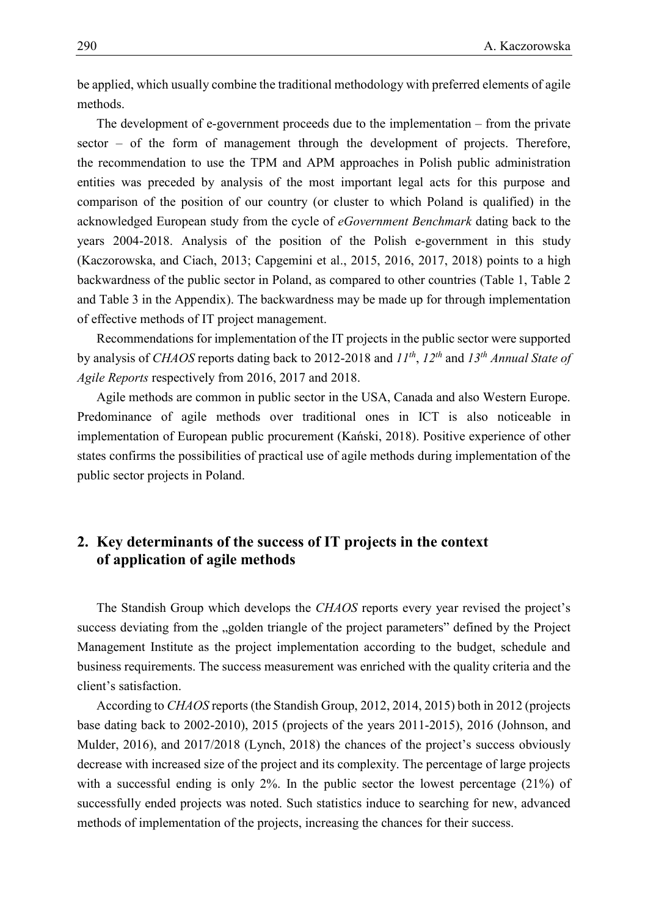1 be applied, which usually combine the traditional methodology with preferred elements of agile methods.

> The development of e-government proceeds due to the implementation  $-$  from the private  $\epsilon$  sector – of the form of management through the development of projects. Therefore, the recommendation to use the TPM and APM approaches in Polish public administration entities was preceded by analysis of the most important legal acts for this purpose and 7 comparison of the position of our country (or cluster to which Poland is qualified) in the 8 acknowledged European study from the cycle of *eGovernment Benchmark* dating back to the 9 years 2004-2018. Analysis of the position of the Polish e-government in this study  $(Kaczorowska, and Ciach, 2013; Capec, 2015, 2015, 2016, 2017, 2018)$  points to a high backwardness of the public sector in Poland, as compared to other countries (Table 1, Table 2 and Table 3 in the Appendix). The backwardness may be made up for through implementation of effective methods of IT project management.

Recommendations for implementation of the IT projects in the public sector were supported by analysis of *CHAOS* reports dating back to 2012-2018 and  $II^{th}$ ,  $I2^{th}$  and  $I3^{th}$  Annual State of 16 *Agile Reports* respectively from 2016, 2017 and 2018.

> Agile methods are common in public sector in the USA, Canada and also Western Europe. Predominance of agile methods over traditional ones in ICT is also noticeable in implementation of European public procurement (Kański, 2018). Positive experience of other states confirms the possibilities of practical use of agile methods during implementation of the public sector projects in Poland.

# 22 **2. Key determinants of the success of IT projects in the context**  23 **of application of agile methods**

 The Standish Group which develops the *CHAOS* reports every year revised the project's success deviating from the "golden triangle of the project parameters" defined by the Project Management Institute as the project implementation according to the budget, schedule and business requirements. The success measurement was enriched with the quality criteria and the client's satisfaction.

29 According to *CHAOS* reports (the Standish Group, 2012, 2014, 2015) both in 2012 (projects base dating back to 2002-2010), 2015 (projects of the years 2011-2015), 2016 (Johnson, and Mulder, 2016), and 2017/2018 (Lynch, 2018) the chances of the project's success obviously decrease with increased size of the project and its complexity. The percentage of large projects with a successful ending is only  $2\%$ . In the public sector the lowest percentage (21%) of successfully ended projects was noted. Such statistics induce to searching for new, advanced methods of implementation of the projects, increasing the chances for their success.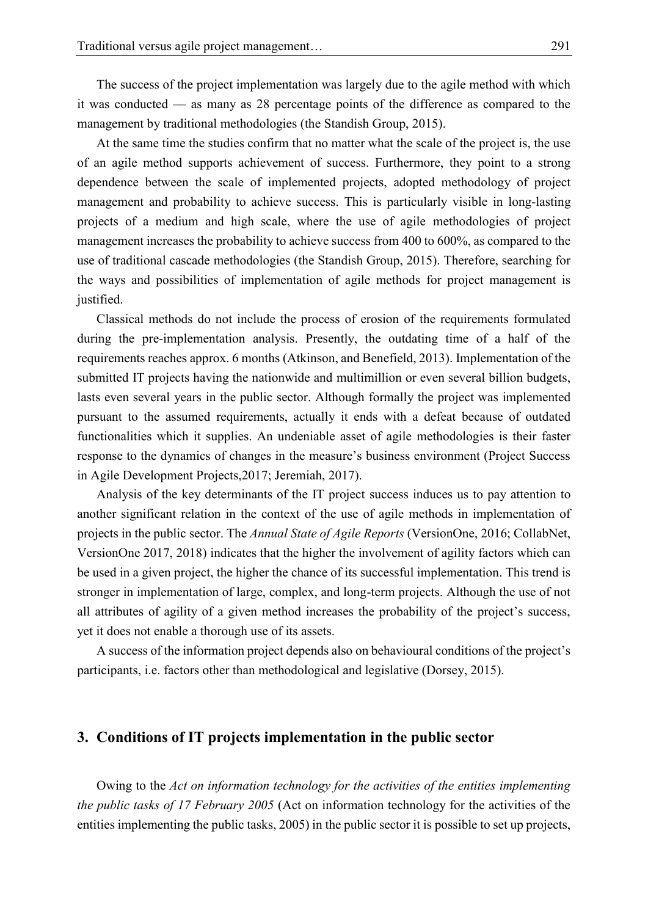The success of the project implementation was largely due to the agile method with which 2 it was conducted –– as many as 28 percentage points of the difference as compared to the management by traditional methodologies (the Standish Group, 2015).

At the same time the studies confirm that no matter what the scale of the project is, the use 5 of an agile method supports achievement of success. Furthermore, they point to a strong 6 dependence between the scale of implemented projects, adopted methodology of project management and probability to achieve success. This is particularly visible in long-lasting projects of a medium and high scale, where the use of agile methodologies of project management increases the probability to achieve success from 400 to 600%, as compared to the use of traditional cascade methodologies (the Standish Group, 2015). Therefore, searching for 11 the ways and possibilities of implementation of agile methods for project management is iustified.

> 13 Classical methods do not include the process of erosion of the requirements formulated during the pre-implementation analysis. Presently, the outdating time of a half of the 15 requirements reaches approx. 6 months (Atkinson, and Benefield, 2013). Implementation of the submitted IT projects having the nationwide and multimillion or even several billion budgets, lasts even several years in the public sector. Although formally the project was implemented pursuant to the assumed requirements, actually it ends with a defeat because of outdated functionalities which it supplies. An undeniable asset of agile methodologies is their faster response to the dynamics of changes in the measure's business environment (Project Success in Agile Development Projects, 2017; Jeremiah, 2017).

> Analysis of the key determinants of the IT project success induces us to pay attention to another significant relation in the context of the use of agile methods in implementation of 24 projects in the public sector. The *Annual State of Agile Reports* (VersionOne, 2016; CollabNet, 25 VersionOne 2017, 2018) indicates that the higher the involvement of agility factors which can be used in a given project, the higher the chance of its successful implementation. This trend is 27 stronger in implementation of large, complex, and long-term projects. Although the use of not all attributes of agility of a given method increases the probability of the project's success, yet it does not enable a thorough use of its assets.

> A success of the information project depends also on behavioural conditions of the project's participants, i.e. factors other than methodological and legislative (Dorsey, 2015).

#### 32 **3. Conditions of IT projects implementation in the public sector**

33 Owing to the *Act on information technology for the activities of the entities implementing*  34 *the public tasks of 17 February 2005* (Act on information technology for the activities of the 35 entities implementing the public tasks, 2005) in the public sector it is possible to set up projects,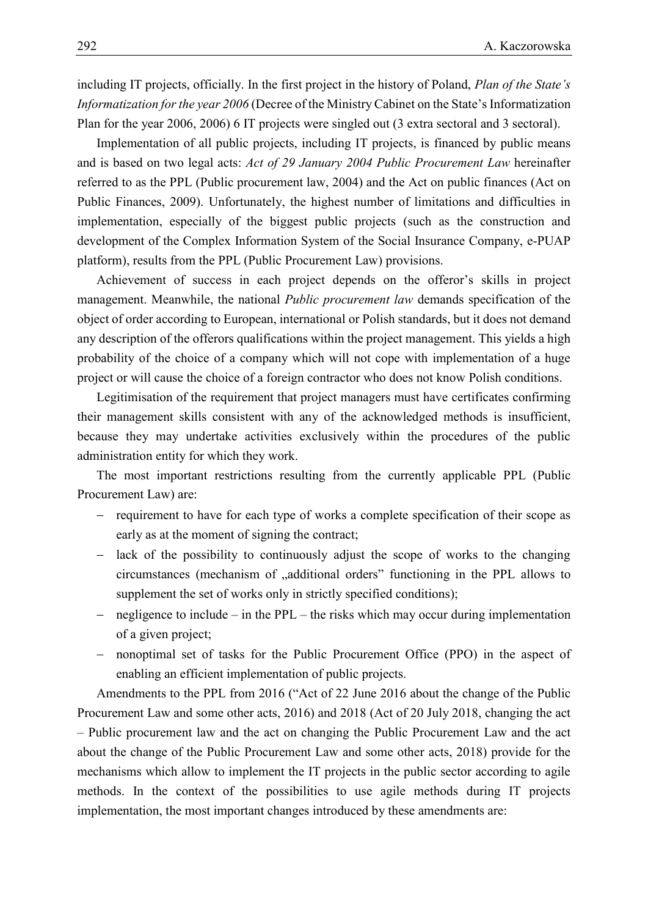including IT projects, officially. In the first project in the history of Poland, *Plan of the State's* 2 *Informatization for the year 2006* (Decree of the Ministry Cabinet on the State's Informatization 3 Plan for the year 2006, 2006) 6 IT projects were singled out (3 extra sectoral and 3 sectoral).

Implementation of all public projects, including IT projects, is financed by public means 5 and is based on two legal acts: *Act of 29 January 2004 Public Procurement Law* hereinafter referred to as the PPL (Public procurement law, 2004) and the Act on public finances (Act on Public Finances, 2009). Unfortunately, the highest number of limitations and difficulties in implementation, especially of the biggest public projects (such as the construction and development of the Complex Information System of the Social Insurance Company, e-PUAP platform), results from the PPL (Public Procurement Law) provisions.

Achievement of success in each project depends on the offeror's skills in project management. Meanwhile, the national *Public procurement law* demands specification of the 13 object of order according to European, international or Polish standards, but it does not demand any description of the offerors qualifications within the project management. This yields a high probability of the choice of a company which will not cope with implementation of a huge project or will cause the choice of a foreign contractor who does not know Polish conditions.

17 Legitimisation of the requirement that project managers must have certificates confirming their management skills consistent with any of the acknowledged methods is insufficient, because they may undertake activities exclusively within the procedures of the public administration entity for which they work.

The most important restrictions resulting from the currently applicable PPL (Public Procurement Law) are:

- requirement to have for each type of works a complete specification of their scope as early as at the moment of signing the contract;
- lack of the possibility to continuously adjust the scope of works to the changing circumstances (mechanism of  $\alpha$ , additional orders" functioning in the PPL allows to supplement the set of works only in strictly specified conditions);
- $-$  negligence to include in the PPL the risks which may occur during implementation of a given project;
- nonoptimal set of tasks for the Public Procurement Office (PPO) in the aspect of enabling an efficient implementation of public projects.

Amendments to the PPL from 2016 ("Act of 22 June 2016 about the change of the Public 33 Procurement Law and some other acts, 2016) and 2018 (Act of 20 July 2018, changing the act 34 – Public procurement law and the act on changing the Public Procurement Law and the act about the change of the Public Procurement Law and some other acts, 2018) provide for the mechanisms which allow to implement the IT projects in the public sector according to agile methods. In the context of the possibilities to use agile methods during IT projects implementation, the most important changes introduced by these amendments are: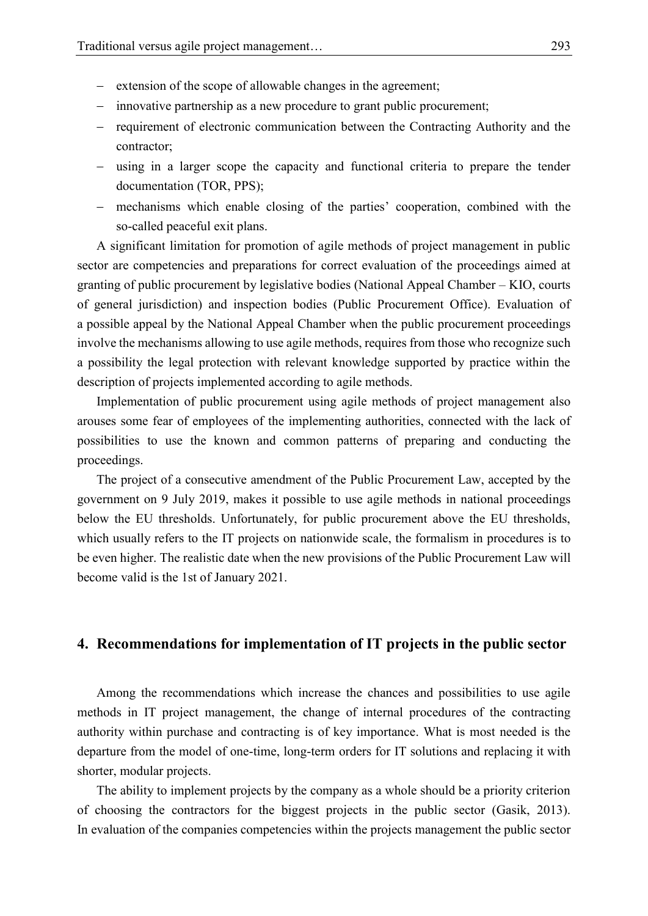- extension of the scope of allowable changes in the agreement;
- 2 innovative partnership as a new procedure to grant public procurement;
- 3 requirement of electronic communication between the Contracting Authority and the contractor;
	- 5 using in a larger scope the capacity and functional criteria to prepare the tender documentation (TOR, PPS);
	- 7 mechanisms which enable closing of the parties' cooperation, combined with the so-called peaceful exit plans.

9 A significant limitation for promotion of agile methods of project management in public sector are competencies and preparations for correct evaluation of the proceedings aimed at 11 granting of public procurement by legislative bodies (National Appeal Chamber – KIO, courts 12 of general jurisdiction) and inspection bodies (Public Procurement Office). Evaluation of 13 a possible appeal by the National Appeal Chamber when the public procurement proceedings involve the mechanisms allowing to use agile methods, requires from those who recognize such a possibility the legal protection with relevant knowledge supported by practice within the description of projects implemented according to agile methods.

Implementation of public procurement using agile methods of project management also arouses some fear of employees of the implementing authorities, connected with the lack of 19 possibilities to use the known and common patterns of preparing and conducting the proceedings.

 The project of a consecutive amendment of the Public Procurement Law, accepted by the government on 9 July 2019, makes it possible to use agile methods in national proceedings below the EU thresholds. Unfortunately, for public procurement above the EU thresholds, which usually refers to the IT projects on nationwide scale, the formalism in procedures is to be even higher. The realistic date when the new provisions of the Public Procurement Law will become valid is the 1st of January 2021.

### 27 **4. Recommendations for implementation of IT projects in the public sector**

Among the recommendations which increase the chances and possibilities to use agile 29 methods in IT project management, the change of internal procedures of the contracting authority within purchase and contracting is of key importance. What is most needed is the 31 departure from the model of one-time, long-term orders for IT solutions and replacing it with shorter, modular projects.

The ability to implement projects by the company as a whole should be a priority criterion of choosing the contractors for the biggest projects in the public sector (Gasik, 2013). In evaluation of the companies competencies within the projects management the public sector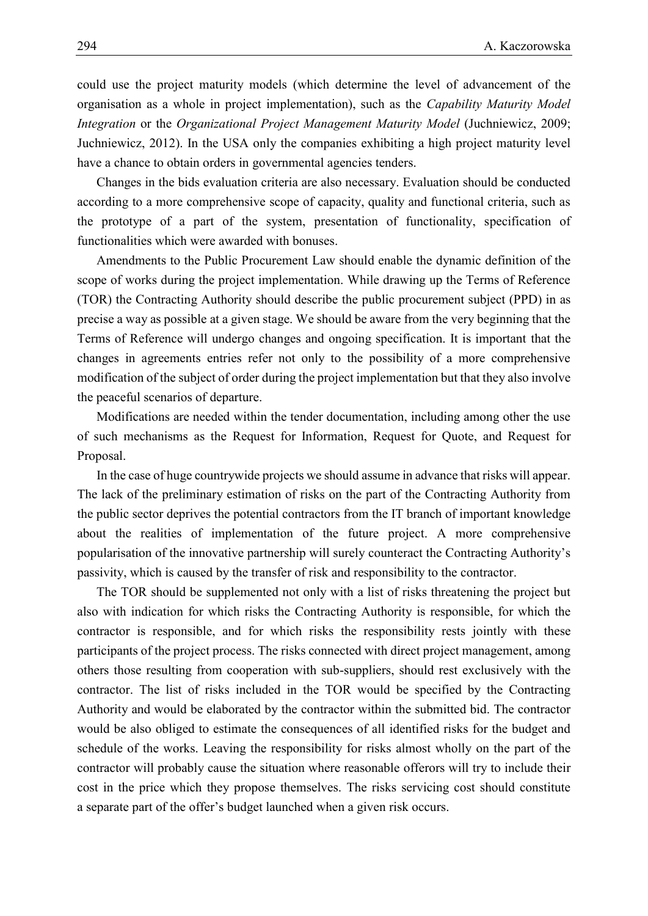1 could use the project maturity models (which determine the level of advancement of the 2 organisation as a whole in project implementation), such as the *Capability Maturity Model*  3 *Integration* or the *Organizational Project Management Maturity Model* (Juchniewicz, 2009; Juchniewicz, 2012). In the USA only the companies exhibiting a high project maturity level have a chance to obtain orders in governmental agencies tenders.

6 Changes in the bids evaluation criteria are also necessary. Evaluation should be conducted according to a more comprehensive scope of capacity, quality and functional criteria, such as the prototype of a part of the system, presentation of functionality, specification of functionalities which were awarded with bonuses.

Amendments to the Public Procurement Law should enable the dynamic definition of the scope of works during the project implementation. While drawing up the Terms of Reference 12 (TOR) the Contracting Authority should describe the public procurement subject (PPD) in as precise a way as possible at a given stage. We should be aware from the very beginning that the Terms of Reference will undergo changes and ongoing specification. It is important that the 15 changes in agreements entries refer not only to the possibility of a more comprehensive modification of the subject of order during the project implementation but that they also involve the peaceful scenarios of departure.

Modifications are needed within the tender documentation, including among other the use 19 of such mechanisms as the Request for Information, Request for Quote, and Request for Proposal.

In the case of huge countrywide projects we should assume in advance that risks will appear. The lack of the preliminary estimation of risks on the part of the Contracting Authority from 23 the public sector deprives the potential contractors from the IT branch of important knowledge 24 about the realities of implementation of the future project. A more comprehensive 25 popularisation of the innovative partnership will surely counteract the Contracting Authority's passivity, which is caused by the transfer of risk and responsibility to the contractor.

The TOR should be supplemented not only with a list of risks threatening the project but also with indication for which risks the Contracting Authority is responsible, for which the 29 contractor is responsible, and for which risks the responsibility rests jointly with these participants of the project process. The risks connected with direct project management, among 31 others those resulting from cooperation with sub-suppliers, should rest exclusively with the 32 contractor. The list of risks included in the TOR would be specified by the Contracting 33 Authority and would be elaborated by the contractor within the submitted bid. The contractor would be also obliged to estimate the consequences of all identified risks for the budget and schedule of the works. Leaving the responsibility for risks almost wholly on the part of the 36 contractor will probably cause the situation where reasonable offerors will try to include their cost in the price which they propose themselves. The risks servicing cost should constitute a separate part of the offer's budget launched when a given risk occurs.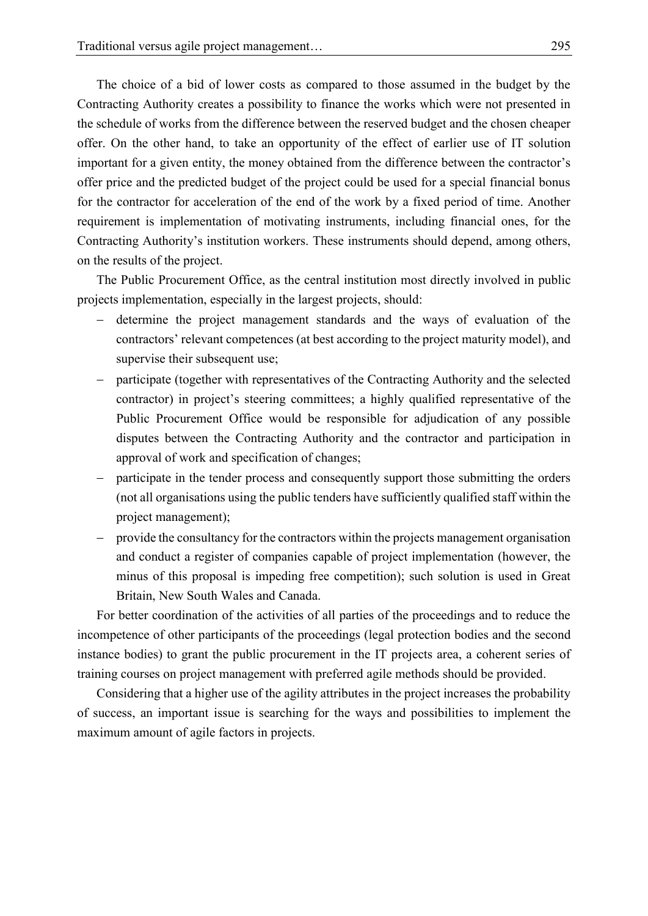1 The choice of a bid of lower costs as compared to those assumed in the budget by the 2 Contracting Authority creates a possibility to finance the works which were not presented in the schedule of works from the difference between the reserved budget and the chosen cheaper offer. On the other hand, to take an opportunity of the effect of earlier use of IT solution 5 important for a given entity, the money obtained from the difference between the contractor's 6 offer price and the predicted budget of the project could be used for a special financial bonus for the contractor for acceleration of the end of the work by a fixed period of time. Another requirement is implementation of motivating instruments, including financial ones, for the Contracting Authority's institution workers. These instruments should depend, among others, on the results of the project.

The Public Procurement Office, as the central institution most directly involved in public projects implementation, especially in the largest projects, should:

- 13 determine the project management standards and the ways of evaluation of the 14 contractors' relevant competences (at best according to the project maturity model), and supervise their subsequent use;
- participate (together with representatives of the Contracting Authority and the selected 17 contractor) in project's steering committees; a highly qualified representative of the Public Procurement Office would be responsible for adjudication of any possible disputes between the Contracting Authority and the contractor and participation in approval of work and specification of changes;
- participate in the tender process and consequently support those submitting the orders 22 (not all organisations using the public tenders have sufficiently qualified staff within the project management);
- provide the consultancy for the contractors within the projects management organisation and conduct a register of companies capable of project implementation (however, the minus of this proposal is impeding free competition); such solution is used in Great Britain, New South Wales and Canada.

28 For better coordination of the activities of all parties of the proceedings and to reduce the incompetence of other participants of the proceedings (legal protection bodies and the second instance bodies) to grant the public procurement in the IT projects area, a coherent series of 31 training courses on project management with preferred agile methods should be provided.

32 Considering that a higher use of the agility attributes in the project increases the probability 33 of success, an important issue is searching for the ways and possibilities to implement the maximum amount of agile factors in projects.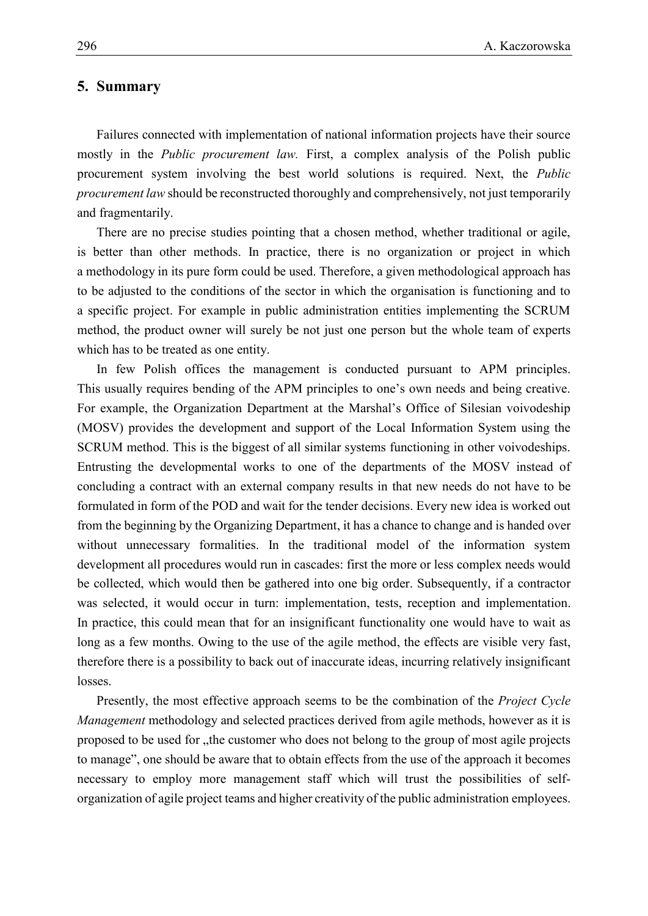#### 1 **5. Summary**

 Failures connected with implementation of national information projects have their source mostly in the *Public procurement law.* First, a complex analysis of the Polish public procurement system involving the best world solutions is required. Next, the *Public procurement law* should be reconstructed thoroughly and comprehensively, not just temporarily and fragmentarily.

There are no precise studies pointing that a chosen method, whether traditional or agile, is better than other methods. In practice, there is no organization or project in which a methodology in its pure form could be used. Therefore, a given methodological approach has 10 to be adjusted to the conditions of the sector in which the organisation is functioning and to a specific project. For example in public administration entities implementing the SCRUM method, the product owner will surely be not just one person but the whole team of experts which has to be treated as one entity.

In few Polish offices the management is conducted pursuant to APM principles. This usually requires bending of the APM principles to one's own needs and being creative. 16 For example, the Organization Department at the Marshal's Office of Silesian voivodeship 17 (MOSV) provides the development and support of the Local Information System using the 18 SCRUM method. This is the biggest of all similar systems functioning in other voivodeships. Entrusting the developmental works to one of the departments of the MOSV instead of 20 concluding a contract with an external company results in that new needs do not have to be formulated in form of the POD and wait for the tender decisions. Every new idea is worked out 22 from the beginning by the Organizing Department, it has a chance to change and is handed over without unnecessary formalities. In the traditional model of the information system development all procedures would run in cascades: first the more or less complex needs would 25 be collected, which would then be gathered into one big order. Subsequently, if a contractor was selected, it would occur in turn: implementation, tests, reception and implementation. In practice, this could mean that for an insignificant functionality one would have to wait as long as a few months. Owing to the use of the agile method, the effects are visible very fast, 29 therefore there is a possibility to back out of inaccurate ideas, incurring relatively insignificant losses.

> 31 Presently, the most effective approach seems to be the combination of the *Project Cycle Management* methodology and selected practices derived from agile methods, however as it is proposed to be used for , the customer who does not belong to the group of most agile projects 34 to manage", one should be aware that to obtain effects from the use of the approach it becomes necessary to employ more management staff which will trust the possibilities of self-36 organization of agile project teams and higher creativity of the public administration employees.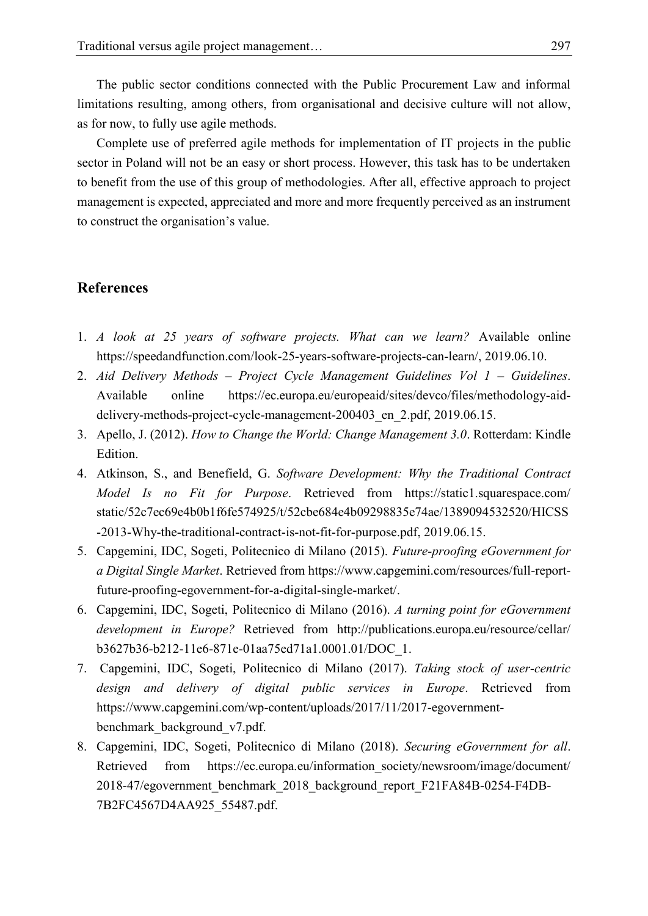1 The public sector conditions connected with the Public Procurement Law and informal limitations resulting, among others, from organisational and decisive culture will not allow, as for now, to fully use agile methods.

4 Complete use of preferred agile methods for implementation of IT projects in the public 5 sector in Poland will not be an easy or short process. However, this task has to be undertaken 6 to benefit from the use of this group of methodologies. After all, effective approach to project management is expected, appreciated and more and more frequently perceived as an instrument to construct the organisation's value.

### 9 **References**

- 1. *A look at 25 years of software projects. What can we learn?* Available online [https://speedandfunction.com/look-25-years-software-projects-can-learn/,](https://speedandfunction.com/look-25-years-software-projects-can-learn/) 2019.06.10.
- 12 2. *Aid Delivery Methods – Project Cycle Management Guidelines Vol 1 – Guidelines*. 13 Available online [https://ec.europa.eu/europeaid/sites/devco/files/methodology-aid](https://ec.europa.eu/europeaid/sites/devco/files/methodology-aid-delivery-methods-project-cycle-management-200403_en_2.pdf)delivery-methods-project-cycle-management-200403 en 2.pdf, 2019.06.15.
- 15 3. Apello, J. (2012). *How to Change the World: Change Management 3.0*. Rotterdam: Kindle **16 Edition.** 
	- 17 4. Atkinson, S., and Benefield, G. *Software Development: Why the Traditional Contract*  18 *Model Is no Fit for Purpose*. Retrieved from [https://static1.squarespace.com/](https://static1.squarespace.com/static/52c7ec69e4b0b1f6fe574925/t/52cbe684e4b09298835e74ae/1389094532520/HICSS-2013-Why-the-traditional-contract-is-not-fit-for-purpose.pdf) 19 [static/52c7ec69e4b0b1f6fe574925/t/52cbe684e4b09298835e74ae/1389094532520/HICSS](https://static1.squarespace.com/static/52c7ec69e4b0b1f6fe574925/t/52cbe684e4b09298835e74ae/1389094532520/HICSS-2013-Why-the-traditional-contract-is-not-fit-for-purpose.pdf) 20 [-2013-Why-the-traditional-contract-is-not-fit-for-purpose.pdf,](https://static1.squarespace.com/static/52c7ec69e4b0b1f6fe574925/t/52cbe684e4b09298835e74ae/1389094532520/HICSS-2013-Why-the-traditional-contract-is-not-fit-for-purpose.pdf) 2019.06.15.
	- 21 5. Capgemini, IDC, Sogeti, Politecnico di Milano (2015). *Future-proofing eGovernment for*  22 *a Digital Single Market*. Retrieved from [https://www.capgemini.com/resources/full-report](https://www.capgemini.com/resources/full-report-future-proofing-egovernment-for-a-digital-single-market/)[future-proofing-egovernment-for-a-digital-single-market/.](https://www.capgemini.com/resources/full-report-future-proofing-egovernment-for-a-digital-single-market/)
	- 24 6. Capgemini, IDC, Sogeti, Politecnico di Milano (2016). *A turning point for eGovernment*  development in Europe? Retrieved from [http://publications.europa.eu/resource/cellar/](http://publications.europa.eu/resource/cellar/b3627b36-b212-11e6-871e-01aa75ed71a1.0001.01/DOC_1) 26 [b3627b36-b212-11e6-871e-01aa75ed71a1.0001.01/DOC\\_1.](http://publications.europa.eu/resource/cellar/b3627b36-b212-11e6-871e-01aa75ed71a1.0001.01/DOC_1)
	- 27 7. Capgemini, IDC, Sogeti, Politecnico di Milano (2017). *Taking stock of user-centric*  28 *design and delivery of digital public services in Europe*. Retrieved from 29 [https://www.capgemini.com/wp-content/uploads/2017/11/2017-egovernment](https://www.capgemini.com/wp-content/uploads/2017/11/2017-egovernment-benchmark_background_v7.pdf)[benchmark\\_background\\_v7.pdf.](https://www.capgemini.com/wp-content/uploads/2017/11/2017-egovernment-benchmark_background_v7.pdf)
	- 31 8. Capgemini, IDC, Sogeti, Politecnico di Milano (2018). *Securing eGovernment for all*. Retrieved from [https://ec.europa.eu/information\\_society/newsroom/image/document/](https://ec.europa.eu/information_society/newsroom/image/document/2018-47/egovernment_benchmark_2018_background_report_F21FA84B-0254-F4DB-7B2FC4567D4AA925_55487.pdf) 33 [2018-47/egovernment\\_benchmark\\_2018\\_background\\_report\\_F21FA84B-0254-F4DB-](https://ec.europa.eu/information_society/newsroom/image/document/2018-47/egovernment_benchmark_2018_background_report_F21FA84B-0254-F4DB-7B2FC4567D4AA925_55487.pdf)[7B2FC4567D4AA925\\_55487.pdf.](https://ec.europa.eu/information_society/newsroom/image/document/2018-47/egovernment_benchmark_2018_background_report_F21FA84B-0254-F4DB-7B2FC4567D4AA925_55487.pdf)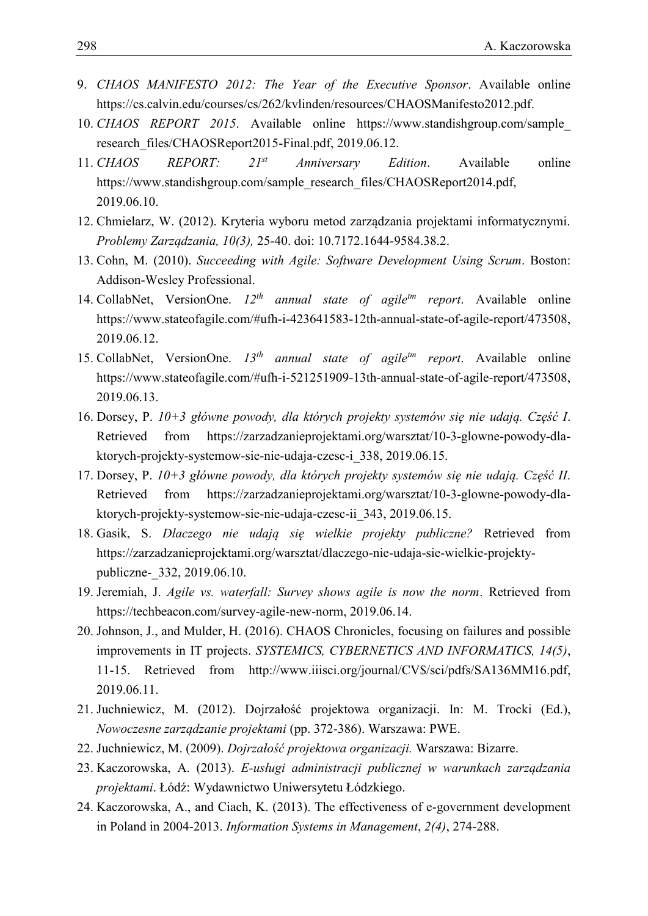- 9. *CHAOS MANIFESTO 2012: The Year of the Executive Sponsor*. Available online [https://cs.calvin.edu/courses/cs/262/kvlinden/resources/CHAOSManifesto2012.pdf.](https://cs.calvin.edu/courses/cs/262/kvlinden/resources/CHAOSManifesto2012.pdf)
- 10. *CHAOS REPORT 2015*. Available online [https://www.standishgroup.com/sample\\_](https://www.standishgroup.com/sample_research_files/CHAOSReport2015-Final.pdf) [research\\_files/CHAOSReport2015-Final.pdf,](https://www.standishgroup.com/sample_research_files/CHAOSReport2015-Final.pdf) 2019.06.12.
- 11. *CHAOS REPORT: 21st Anniversary Edition*. Available online [https://www.standishgroup.com/sample\\_research\\_files/CHAOSReport2014.pdf,](https://www.standishgroup.com/sample_research_files/CHAOSReport2014.pdf) 2019.06.10.
	- 12. Chmielarz, W. (2012). Kryteria wyboru metod zarządzania projektami informatycznymi. *Problemy Zarządzania, 10(3),* 25-40. doi: 10.7172.1644-9584.38.2.
	- 13. Cohn, M. (2010). *Succeeding with Agile: Software Development Using Scrum*. Boston: Addison-Wesley Professional.
	- 14. CollabNet, VersionOne. 12<sup>th</sup> annual state of agile<sup>tm</sup> report. Available online [https://www.stateofagile.com/#ufh-i-423641583-12th-annual-state-of-agile-report/473508,](https://www.stateofagile.com/#ufh-i-423641583-12th-annual-state-of-agile-report/473508) 2019.06.12.
	- 15. CollabNet, VersionOne. *13th annual state of agiletm report*. Available online [https://www.stateofagile.com/#ufh-i-521251909-13th-annual-state-of-agile-report/473508,](https://www.stateofagile.com/#ufh-i-521251909-13th-annual-state-of-agile-report/473508) 2019.06.13.
	- 16. Dorsey, P. *10+3 główne powody, dla których projekty systemów się nie udają. Część I*. Retrieved from [https://zarzadzanieprojektami.org/warsztat/10-3-glowne-powody-dla-](https://zarzadzanieprojektami.org/warsztat/10-3-glowne-powody-dla-ktorych-projekty-systemow-sie-nie-udaja-czesc-i_338)[ktorych-projekty-systemow-sie-nie-udaja-czesc-i\\_338,](https://zarzadzanieprojektami.org/warsztat/10-3-glowne-powody-dla-ktorych-projekty-systemow-sie-nie-udaja-czesc-i_338) 2019.06.15.
	- 17. Dorsey, P. *10+3 główne powody, dla których projekty systemów się nie udają. Część II*. Retrieved from [https://zarzadzanieprojektami.org/warsztat/10-3-glowne-powody-dla-](https://zarzadzanieprojektami.org/warsztat/10-3-glowne-powody-dla-ktorych-projekty-systemow-sie-nie-udaja-czesc-ii_343)[ktorych-projekty-systemow-sie-nie-udaja-czesc-ii\\_343,](https://zarzadzanieprojektami.org/warsztat/10-3-glowne-powody-dla-ktorych-projekty-systemow-sie-nie-udaja-czesc-ii_343) 2019.06.15.
	- 18. Gasik, S. *Dlaczego nie udają się wielkie projekty publiczne?* Retrieved from https://zarzadzanieprojektami.org/warsztat/dlaczego-nie-udaja-sie-wielkie-projektypubliczne- 332, 2019.06.10.
	- 19. Jeremiah, J. *Agile vs. waterfall: Survey shows agile is now the norm*. Retrieved from [https://techbeacon.com/survey-agile-new-norm,](https://techbeacon.com/survey-agile-new-norm) 2019.06.14.
	- 20. Johnson, J., and Mulder, H. (2016). CHAOS Chronicles, focusing on failures and possible improvements in IT projects. *SYSTEMICS, CYBERNETICS AND INFORMATICS, 14(5)*, 11-15. Retrieved from [http://www.iiisci.org/journal/CV\\$/sci/pdfs/SA136MM16.pdf,](http://www.iiisci.org/journal/CV$/sci/pdfs/SA136MM16.pdf) 2019.06.11.
	- 21. Juchniewicz, M. (2012). Dojrzałość projektowa organizacji. In: M. Trocki (Ed.), *Nowoczesne zarządzanie projektami* (pp. 372-386). Warszawa: PWE.
	- 22. Juchniewicz, M. (2009). *Dojrzałość projektowa organizacji.* Warszawa: Bizarre.
	- 23. Kaczorowska, A. (2013). *E-usługi administracji publicznej w warunkach zarządzania projektami*. Łódź: Wydawnictwo Uniwersytetu Łódzkiego.
	- 24. Kaczorowska, A., and Ciach, K. (2013). The effectiveness of e-government development in Poland in 2004-2013. *Information Systems in Management*, *2(4)*, 274-288.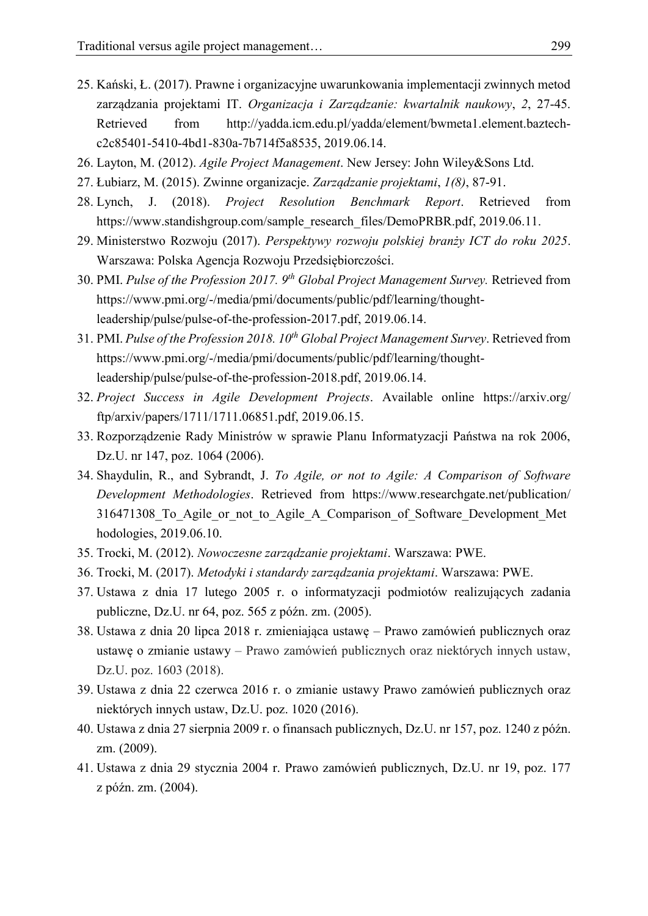- 25. Kański, Ł. (2017). Prawne i organizacyjne uwarunkowania implementacji zwinnych metod zarządzania projektami IT. *Organizacja i Zarządzanie: kwartalnik naukowy*, *2*, 27-45. Retrieved from [http://yadda.icm.edu.pl/yadda/element/bwmeta1.element.baztech-](http://yadda.icm.edu.pl/yadda/element/bwmeta1.element.baztech-c2c85401-5410-4bd1-830a-7b714f5a8535)[c2c85401-5410-4bd1-830a-7b714f5a8535,](http://yadda.icm.edu.pl/yadda/element/bwmeta1.element.baztech-c2c85401-5410-4bd1-830a-7b714f5a8535) 2019.06.14.
- 26. Layton, M. (2012). *Agile Project Management*. New Jersey: John Wiley&Sons Ltd.
- 27. Łubiarz, M. (2015). Zwinne organizacje. *Zarządzanie projektami*, *1(8)*, 87-91.
- 28. Lynch, J. (2018). *Project Resolution Benchmark Report*. Retrieved from [https://www.standishgroup.com/sample\\_research\\_files/DemoPRBR.pdf,](https://www.standishgroup.com/sample_research_files/DemoPRBR.pdf) 2019.06.11.
- 29. Ministerstwo Rozwoju (2017). *Perspektywy rozwoju polskiej branży ICT do roku 2025*. Warszawa: Polska Agencja Rozwoju Przedsiębiorczości.
- 30. PMI. *Pulse of the Profession 2017. 9th Global Project Management Survey.* Retrieved from [https://www.pmi.org/-/media/pmi/documents/public/pdf/learning/thought-](https://www.pmi.org/-/media/pmi/documents/public/pdf/learning/thought-leadership/pulse/pulse-of-the-profession-2017.pdf)[leadership/pulse/pulse-of-the-profession-2017.pdf,](https://www.pmi.org/-/media/pmi/documents/public/pdf/learning/thought-leadership/pulse/pulse-of-the-profession-2017.pdf) 2019.06.14.
- 31. PMI. *Pulse of the Profession 2018. 10th Global Project Management Survey*. Retrieved from [https://www.pmi.org/-/media/pmi/documents/public/pdf/learning/thought-](https://www.pmi.org/-/media/pmi/documents/public/pdf/learning/thought-leadership/pulse/pulse-of-the-profession-2018.pdf)[leadership/pulse/pulse-of-the-profession-2018.pdf,](https://www.pmi.org/-/media/pmi/documents/public/pdf/learning/thought-leadership/pulse/pulse-of-the-profession-2018.pdf) 2019.06.14.
- 32. *Project Success in Agile Development Projects*. Available online [https://arxiv.org/](https://arxiv.org/ftp/arxiv/papers/1711/1711.06851.pdf) [ftp/arxiv/papers/1711/1711.06851.pdf,](https://arxiv.org/ftp/arxiv/papers/1711/1711.06851.pdf) 2019.06.15.
- 33. Rozporządzenie Rady Ministrów w sprawie Planu Informatyzacji Państwa na rok 2006, Dz.U. nr 147, poz. 1064 (2006).
- 34. Shaydulin, R., and Sybrandt, J. *To Agile, or not to Agile: A Comparison of Software Development Methodologies*. Retrieved from [https://www.researchgate.net/publication/](https://www.researchgate.net/publication/316471308_To_Agile_or_not_to_Agile_A_Comparison_of_Software_Development_Methodologies) [316471308\\_To\\_Agile\\_or\\_not\\_to\\_Agile\\_A\\_Comparison\\_of\\_Software\\_Development\\_Met](https://www.researchgate.net/publication/316471308_To_Agile_or_not_to_Agile_A_Comparison_of_Software_Development_Methodologies) [hodologies,](https://www.researchgate.net/publication/316471308_To_Agile_or_not_to_Agile_A_Comparison_of_Software_Development_Methodologies) 2019.06.10.
- 35. Trocki, M. (2012). *Nowoczesne zarządzanie projektami*. Warszawa: PWE.
- 36. Trocki, M. (2017). *Metodyki i standardy zarządzania projektami*. Warszawa: PWE.
- 37. Ustawa z dnia 17 lutego 2005 r. o informatyzacji podmiotów realizujących zadania publiczne, Dz.U. nr 64, poz. 565 z późn. zm. (2005).
- 38. Ustawa z dnia 20 lipca 2018 r. zmieniająca ustawę Prawo zamówień publicznych oraz ustawę o zmianie ustawy – Prawo zamówień publicznych oraz niektórych innych ustaw, Dz.U. poz. 1603 (2018).
- 39. Ustawa z dnia 22 czerwca 2016 r. o zmianie ustawy Prawo zamówień publicznych oraz niektórych innych ustaw, Dz.U. poz. 1020 (2016).
- 40. Ustawa z dnia 27 sierpnia 2009 r. o finansach publicznych, Dz.U. nr 157, poz. 1240 z późn. zm. (2009).
- 41. Ustawa z dnia 29 stycznia 2004 r. Prawo zamówień publicznych, Dz.U. nr 19, poz. 177 z późn. zm. (2004).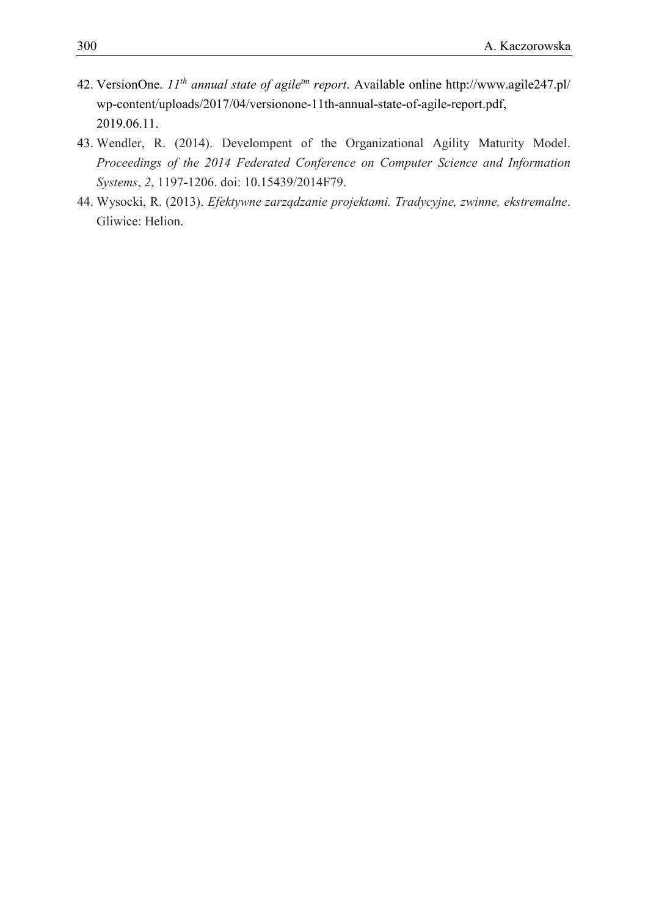- 42. VersionOne. *11th annual state of agiletm report*. Available online [http://www.agile247.pl/](http://www.agile247.pl/wp-content/uploads/2017/04/versionone-11th-annual-state-of-agile-report.pdf) [wp-content/uploads/2017/04/versionone-11th-annual-state-of-agile-report.pdf,](http://www.agile247.pl/wp-content/uploads/2017/04/versionone-11th-annual-state-of-agile-report.pdf) 2019.06.11.
- 43. Wendler, R. (2014). Develompent of the Organizational Agility Maturity Model. *Proceedings of the 2014 Federated Conference on Computer Science and Information Systems*, *2*, 1197-1206. doi: 10.15439/2014F79.
- 44. Wysocki, R. (2013). *Efektywne zarządzanie projektami. Tradycyjne, zwinne, ekstremalne*. Gliwice: Helion.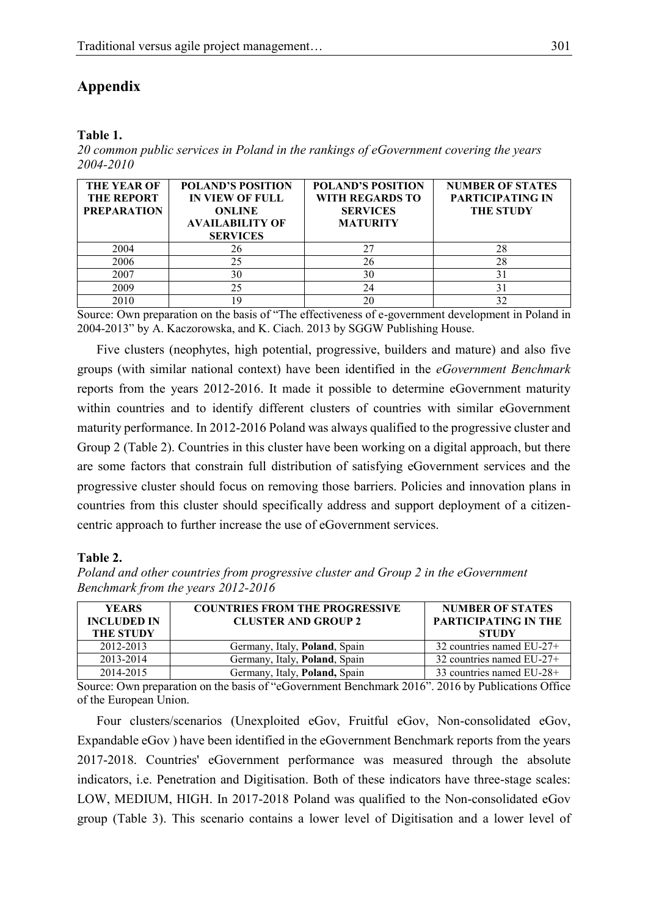# 1 **Appendix**

#### 2 **Table 1.**

3 *20 common public services in Poland in the rankings of eGovernment covering the years*  4 *2004-2010*

| <b>THE YEAR OF</b><br><b>THE REPORT</b><br><b>PREPARATION</b> | <b>POLAND'S POSITION</b><br><b>IN VIEW OF FULL</b><br><b>ONLINE</b><br><b>AVAILABILITY OF</b><br><b>SERVICES</b> | <b>POLAND'S POSITION</b><br><b>WITH REGARDS TO</b><br><b>SERVICES</b><br><b>MATURITY</b> | <b>NUMBER OF STATES</b><br><b>PARTICIPATING IN</b><br><b>THE STUDY</b> |
|---------------------------------------------------------------|------------------------------------------------------------------------------------------------------------------|------------------------------------------------------------------------------------------|------------------------------------------------------------------------|
| 2004                                                          | 26                                                                                                               | 27                                                                                       | 28                                                                     |
| 2006                                                          | 25                                                                                                               | 26                                                                                       | 28                                                                     |
| 2007                                                          | 30                                                                                                               | 30                                                                                       | 31                                                                     |
| 2009                                                          | 25                                                                                                               | 24                                                                                       | 31                                                                     |
| 2010                                                          | 19                                                                                                               | 20                                                                                       | 32                                                                     |

5 Source: Own preparation on the basis of "The effectiveness of e-government development in Poland in 2004-2013" by A. Kaczorowska, and K. Ciach. 2013 by SGGW Publishing House.

Five clusters (neophytes, high potential, progressive, builders and mature) and also five 8 groups (with similar national context) have been identified in the *eGovernment Benchmark*  reports from the years 2012-2016. It made it possible to determine eGovernment maturity within countries and to identify different clusters of countries with similar eGovernment maturity performance. In 2012-2016 Poland was always qualified to the progressive cluster and 12 Group 2 (Table 2). Countries in this cluster have been working on a digital approach, but there are some factors that constrain full distribution of satisfying eGovernment services and the progressive cluster should focus on removing those barriers. Policies and innovation plans in countries from this cluster should specifically address and support deployment of a citizencentric approach to further increase the use of eGovernment services.

#### 17 **Table 2.**

18 *Poland and other countries from progressive cluster and Group 2 in the eGovernment*  19 *Benchmark from the years 2012-2016*

| <b>YEARS</b><br><b>INCLUDED IN</b><br><b>THE STUDY</b> | <b>COUNTRIES FROM THE PROGRESSIVE</b><br><b>CLUSTER AND GROUP 2</b> | <b>NUMBER OF STATES</b><br><b>PARTICIPATING IN THE</b><br><b>STUDY</b> |
|--------------------------------------------------------|---------------------------------------------------------------------|------------------------------------------------------------------------|
| 2012-2013                                              | Germany, Italy, Poland, Spain                                       | 32 countries named $EU-27+$                                            |
| 2013-2014                                              | Germany, Italy, Poland, Spain                                       | 32 countries named EU-27+                                              |
| 2014-2015                                              | Germany, Italy, Poland, Spain                                       | 33 countries named EU-28+                                              |

20 Source: Own preparation on the basis of "eGovernment Benchmark 2016". 2016 by Publications Office of the European Union.

22 Four clusters/scenarios (Unexploited eGov, Fruitful eGov, Non-consolidated eGov, Expandable eGov) have been identified in the eGovernment Benchmark reports from the years 24 2017-2018. Countries' eGovernment performance was measured through the absolute indicators, i.e. Penetration and Digitisation. Both of these indicators have three-stage scales: LOW, MEDIUM, HIGH. In 2017-2018 Poland was qualified to the Non-consolidated eGov 27 group (Table 3). This scenario contains a lower level of Digitisation and a lower level of